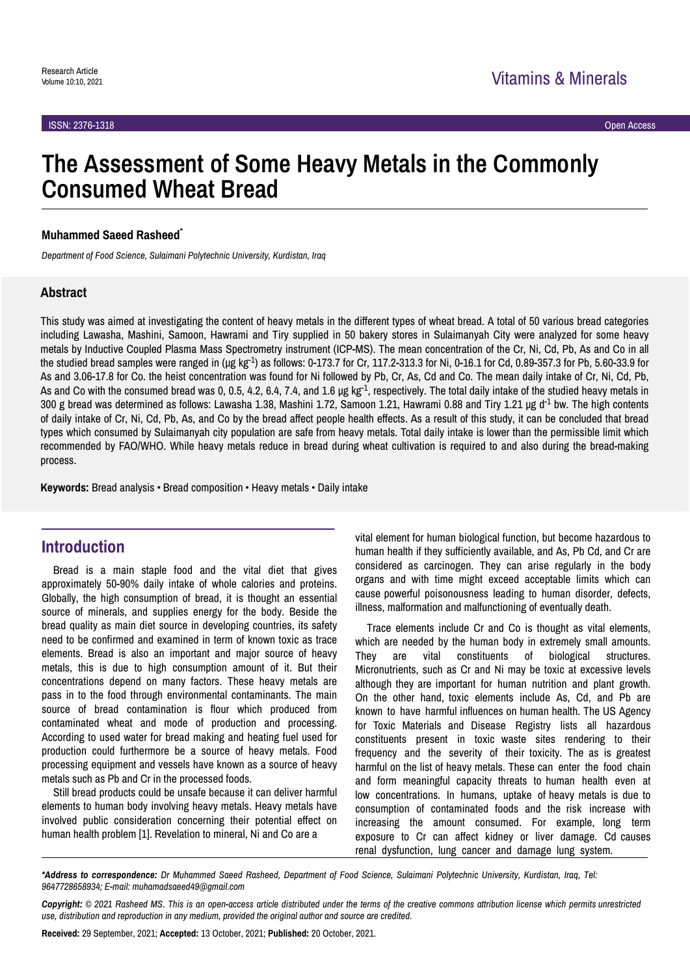# **The Assessment of Some Heavy Metals in the Commonly Consumed Wheat Bread**

#### **Muhammed Saeed Rasheed**\*

*Department of Food Science, Sulaimani Polytechnic University, Kurdistan, Iraq*

#### **Abstract**

This study was aimed at investigating the content of heavy metals in the different types of wheat bread. A total of 50 various bread categories including Lawasha, Mashini, Samoon, Hawrami and Tiry supplied in 50 bakery stores in Sulaimanyah City were analyzed for some heavy metals by Inductive Coupled Plasma Mass Spectrometry instrument (ICP-MS). The mean concentration of the Cr, Ni, Cd, Pb, As and Co in all the studied bread samples were ranged in ( $\mu$ g kg<sup>-1</sup>) as follows: 0-173.7 for Cr, 117.2-313.3 for Ni, 0-16.1 for Cd, 0.89-357.3 for Pb, 5.60-33.9 for As and 3.06-17.8 for Co. the heist concentration was found for Ni followed by Pb, Cr, As, Cd and Co. The mean daily intake of Cr, Ni, Cd, Pb, As and Co with the consumed bread was 0, 0.5, 4.2, 6.4, 7.4, and 1.6 µg kg<sup>-1</sup>, respectively. The total daily intake of the studied heavy metals in 300 g bread was determined as follows: Lawasha 1.38, Mashini 1.72, Samoon 1.21, Hawrami 0.88 and Tiry 1.21 µg d<sup>-1</sup> bw. The high contents of daily intake of Cr, Ni, Cd, Pb, As, and Co by the bread affect people health effects. As a result of this study, it can be concluded that bread types which consumed by Sulaimanyah city population are safe from heavy metals. Total daily intake is lower than the permissible limit which recommended by FAO/WHO. While heavy metals reduce in bread during wheat cultivation is required to and also during the bread-making process.

**Keywords:** Bread analysis • Bread composition • Heavy metals • Daily intake

## **Introduction**

Bread is a main staple food and the vital diet that gives approximately 50-90% daily intake of whole calories and proteins. Globally, the high consumption of bread, it is thought an essential source of minerals, and supplies energy for the body. Beside the bread quality as main diet source in developing countries, its safety need to be confirmed and examined in term of known toxic as trace elements. Bread is also an important and major source of heavy metals, this is due to high consumption amount of it. But their concentrations depend on many factors. These heavy metals are pass in to the food through environmental contaminants. The main source of bread contamination is flour which produced from contaminated wheat and mode of production and processing. According to used water for bread making and heating fuel used for production could furthermore be a source of heavy metals. Food processing equipment and vessels have known as a source of heavy metals such as Pb and Cr in the processed foods.

Still bread products could be unsafe because it can deliver harmful elements to human body involving heavy metals. Heavy metals have involved public consideration concerning their potential effect on human health problem [1]. Revelation to mineral, Ni and Co are a

vital element for human biological function, but become hazardous to human health if they sufficiently available, and As, Pb Cd, and Cr are considered as carcinogen. They can arise regularly in the body organs and with time might exceed acceptable limits which can cause powerful poisonousness leading to human disorder, defects, illness, malformation and malfunctioning of eventually death.

Trace elements include Cr and Co is thought as vital elements, which are needed by the human body in extremely small amounts. They are vital constituents of biological structures. Micronutrients, such as Cr and Ni may be toxic at excessive levels although they are important for human nutrition and plant growth. On the other hand, toxic elements include As, Cd, and Pb are known to have harmful influences on human health. The US Agency for Toxic Materials and Disease Registry lists all hazardous constituents present in toxic waste sites rendering to their frequency and the severity of their toxicity. The as is greatest harmful on the list of heavy metals. These can enter the food chain and form meaningful capacity threats to human health even at low concentrations. In humans, uptake of heavy metals is due to consumption of contaminated foods and the risk increase with increasing the amount consumed. For example, long term exposure to Cr can affect kidney or liver damage. Cd causes renal dysfunction, lung cancer and damage lung system.

**Received:** 29 September, 2021; **Accepted:** 13 October, 2021; **Published:** 20 October, 2021.

*<sup>\*</sup>Address to correspondence: Dr Muhammed Saeed Rasheed, Department of Food Science, Sulaimani Polytechnic University, Kurdistan, Iraq, Tel: 9647728658934; E-mail: muhamadsaeed49@gmail.com*

*Copyright: © 2021 Rasheed MS. This is an open-access article distributed under the terms of the creative commons attribution license which permits unrestricted use, distribution and reproduction in any medium, provided the original author and source are credited.*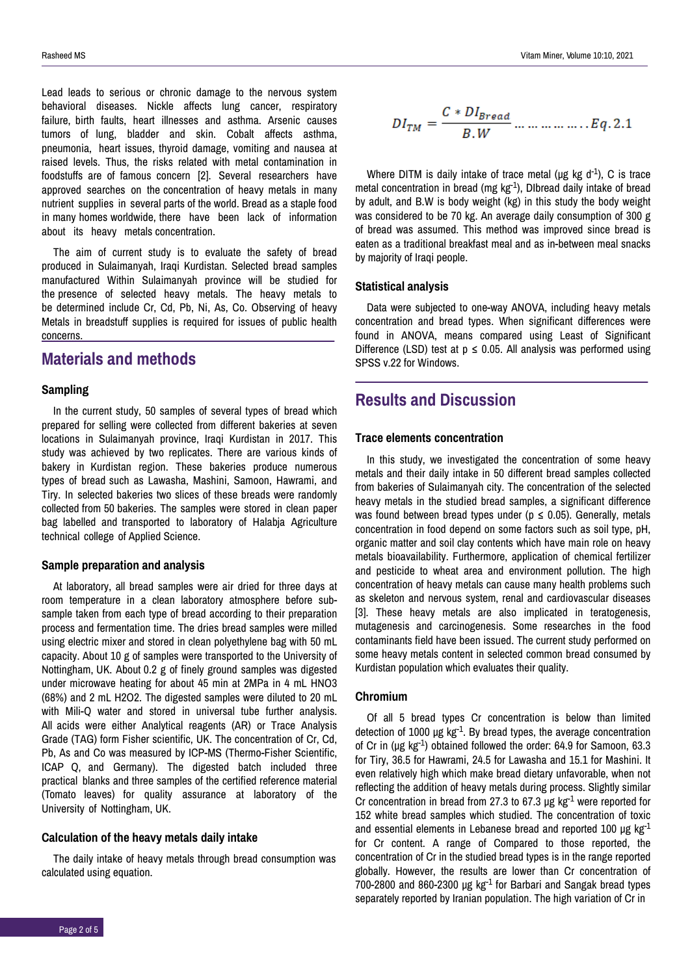Lead leads to serious or chronic damage to the nervous system behavioral diseases. Nickle affects lung cancer, respiratory failure, birth faults, heart illnesses and asthma. Arsenic causes tumors of lung, bladder and skin. Cobalt affects asthma, pneumonia, heart issues, thyroid damage, vomiting and nausea at raised levels. Thus, the risks related with metal contamination in foodstuffs are of famous concern [2]. Several researchers have approved searches on the concentration of heavy metals in many nutrient supplies in several parts of the world. Bread as a staple food in many homes worldwide, there have been lack of information about its heavy metals concentration.

The aim of current study is to evaluate the safety of bread produced in Sulaimanyah, Iraqi Kurdistan. Selected bread samples manufactured Within Sulaimanyah province will be studied for the presence of selected heavy metals. The heavy metals to be determined include Cr, Cd, Pb, Ni, As, Co. Observing of heavy Metals in breadstuff supplies is required for issues of public health concerns.

# **Materials and methods**

#### **Sampling**

In the current study, 50 samples of several types of bread which prepared for selling were collected from different bakeries at seven locations in Sulaimanyah province, Iraqi Kurdistan in 2017, This study was achieved by two replicates. There are various kinds of bakery in Kurdistan region. These bakeries produce numerous types of bread such as Lawasha, Mashini, Samoon, Hawrami, and Tiry. In selected bakeries two slices of these breads were randomly collected from 50 bakeries. The samples were stored in clean paper bag labelled and transported to laboratory of Halabja Agriculture technical college of Applied Science.

#### **Sample preparation and analysis**

At laboratory, all bread samples were air dried for three days at room temperature in a clean laboratory atmosphere before subsample taken from each type of bread according to their preparation process and fermentation time. The dries bread samples were milled using electric mixer and stored in clean polyethylene bag with 50 mL capacity. About 10 g of samples were transported to the University of Nottingham, UK. About 0.2 g of finely ground samples was digested under microwave heating for about 45 min at 2MPa in 4 mL HNO3 (68%) and 2 mL H2O2. The digested samples were diluted to 20 mL with Mili-Q water and stored in universal tube further analysis. All acids were either Analytical reagents (AR) or Trace Analysis Grade (TAG) form Fisher scientific, UK. The concentration of Cr, Cd, Pb, As and Co was measured by ICP-MS (Thermo-Fisher Scientific, ICAP Q, and Germany). The digested batch included three practical blanks and three samples of the certified reference material (Tomato leaves) for quality assurance at laboratory of the University of Nottingham, UK.

#### **Calculation of the heavy metals daily intake**

The daily intake of heavy metals through bread consumption was calculated using equation.

$$
DI_{TM} = \frac{C * DI_{Bread}}{B.W} \dots \dots \dots \dots \dots \dots Eq. 2.1
$$

Where DITM is daily intake of trace metal ( $\mu$ g kg d<sup>-1</sup>), C is trace metal concentration in bread (mg  $kg^{-1}$ ). Dibread daily intake of bread by adult, and B.W is body weight (kg) in this study the body weight was considered to be 70 kg. An average daily consumption of 300 g of bread was assumed. This method was improved since bread is eaten as a traditional breakfast meal and as in-between meal snacks by majority of Iraqi people.

#### **Statistical analysis**

Data were subjected to one-way ANOVA, including heavy metals concentration and bread types. When significant differences were found in ANOVA, means compared using Least of Significant Difference (LSD) test at  $p \le 0.05$ . All analysis was performed using SPSS v.22 for Windows.

# **Results and Discussion**

#### **Trace elements concentration**

In this study, we investigated the concentration of some heavy metals and their daily intake in 50 different bread samples collected from bakeries of Sulaimanyah city. The concentration of the selected heavy metals in the studied bread samples, a significant difference was found between bread types under ( $p \le 0.05$ ). Generally, metals concentration in food depend on some factors such as soil type, pH, organic matter and soil clay contents which have main role on heavy metals bioavailability. Furthermore, application of chemical fertilizer and pesticide to wheat area and environment pollution. The high concentration of heavy metals can cause many health problems such as skeleton and nervous system, renal and cardiovascular diseases [3]. These heavy metals are also implicated in teratogenesis, mutagenesis and carcinogenesis. Some researches in the food contaminants field have been issued. The current study performed on some heavy metals content in selected common bread consumed by Kurdistan population which evaluates their quality.

#### **Chromium**

Of all 5 bread types Cr concentration is below than limited detection of 1000  $\mu$ g kg<sup>-1</sup>. By bread types, the average concentration of Cr in (µg kg-1) obtained followed the order: 64.9 for Samoon, 63.3 for Tiry, 36.5 for Hawrami, 24.5 for Lawasha and 15.1 for Mashini. It even relatively high which make bread dietary unfavorable, when not reflecting the addition of heavy metals during process. Slightly similar Cr concentration in bread from 27.3 to 67.3  $\mu$ g kg<sup>-1</sup> were reported for 152 white bread samples which studied. The concentration of toxic and essential elements in Lebanese bread and reported 100  $\mu$ g kg $^{-1}$ for Cr content. A range of Compared to those reported, the concentration of Cr in the studied bread types is in the range reported globally. However, the results are lower than Cr concentration of  $700-2800$  and  $860-2300$  µg kg $^{-1}$  for Barbari and Sangak bread types separately reported by Iranian population. The high variation of Cr in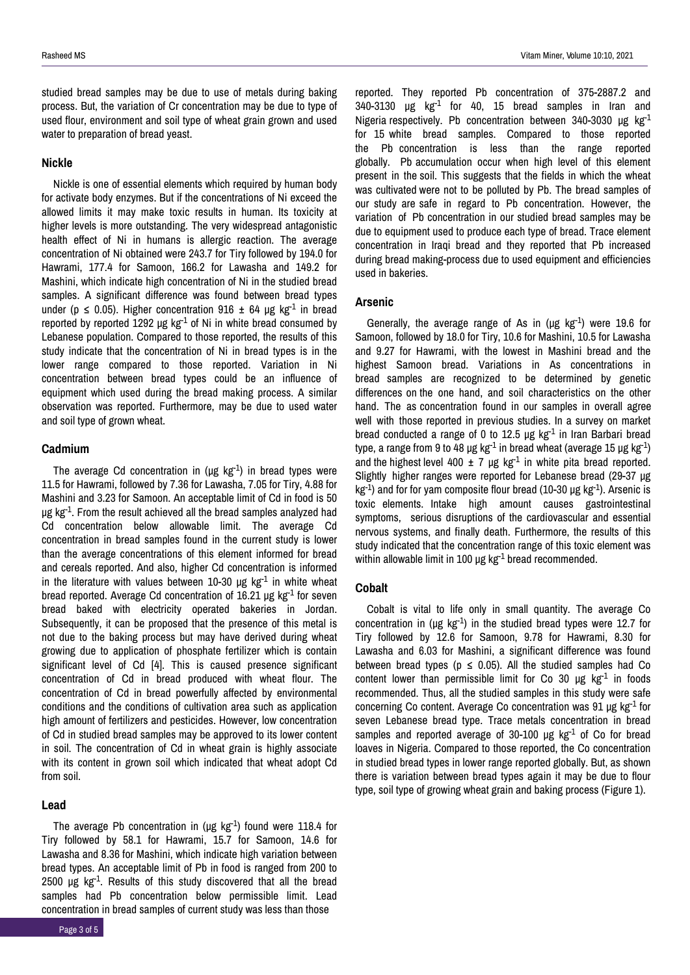#### **Nickle**

Nickle is one of essential elements which required by human body for activate body enzymes. But if the concentrations of Ni exceed the allowed limits it may make toxic results in human. Its toxicity at higher levels is more outstanding. The very widespread antagonistic health effect of Ni in humans is allergic reaction. The average concentration of Ni obtained were 243.7 for Tiry followed by 194.0 for Hawrami, 177.4 for Samoon, 166.2 for Lawasha and 149.2 for Mashini, which indicate high concentration of Ni in the studied bread samples. A significant difference was found between bread types under (p  $\leq$  0.05). Higher concentration 916  $\pm$  64 µg kg<sup>-1</sup> in bread reported by reported  $1292 \mu g kg^{-1}$  of Ni in white bread consumed by Lebanese population. Compared to those reported, the results of this study indicate that the concentration of Ni in bread types is in the lower range compared to those reported. Variation in Ni concentration between bread types could be an influence of equipment which used during the bread making process. A similar observation was reported. Furthermore, may be due to used water and soil type of grown wheat.

### **Cadmium**

The average Cd concentration in  $(\mu g \kappa g^{-1})$  in bread types were 11.5 for Hawrami, followed by 7.36 for Lawasha, 7.05 for Tiry, 4.88 for Mashini and 3.23 for Samoon. An acceptable limit of Cd in food is 50  $\mu$ g kg<sup>-1</sup>. From the result achieved all the bread samples analyzed had Cd concentration below allowable limit. The average Cd concentration in bread samples found in the current study is lower than the average concentrations of this element informed for bread and cereals reported. And also, higher Cd concentration is informed in the literature with values between 10-30 μg  $kg<sup>-1</sup>$  in white wheat bread reported. Average Cd concentration of 16.21  $\mu$ g kg<sup>-1</sup> for seven bread baked with electricity operated bakeries in Jordan. Subsequently, it can be proposed that the presence of this metal is not due to the baking process but may have derived during wheat growing due to application of phosphate fertilizer which is contain significant level of Cd [4]. This is caused presence significant concentration of Cd in bread produced with wheat flour. The concentration of Cd in bread powerfully affected by environmental conditions and the conditions of cultivation area such as application high amount of fertilizers and pesticides. However, low concentration of Cd in studied bread samples may be approved to its lower content in soil. The concentration of Cd in wheat grain is highly associate with its content in grown soil which indicated that wheat adopt Cd from soil.

#### **Lead**

The average Pb concentration in ( $\mu$ g kg<sup>-1</sup>) found were 118.4 for Tiry followed by 58.1 for Hawrami, 15.7 for Samoon, 14.6 for Lawasha and 8.36 for Mashini, which indicate high variation between bread types. An acceptable limit of Pb in food is ranged from 200 to 2500  $\mu$ g kg<sup>-1</sup>. Results of this study discovered that all the bread samples had Pb concentration below permissible limit. Lead concentration in bread samples of current study was less than those

reported. They reported Pb concentration of 375-2887.2 and  $340-3130$  µg kg<sup>-1</sup> for 40, 15 bread samples in Iran and Nigeria respectively. Pb concentration between 340-3030  $\mu$ g kg<sup>-1</sup> for 15 white bread samples. Compared to those reported the Pb concentration is less than the range reported globally. Pb accumulation occur when high level of this element present in the soil. This suggests that the fields in which the wheat was cultivated were not to be polluted by Pb. The bread samples of our study are safe in regard to Pb concentration. However, the variation of Pb concentration in our studied bread samples may be due to equipment used to produce each type of bread. Trace element concentration in Iraqi bread and they reported that Pb increased during bread making-process due to used equipment and efficiencies used in bakeries.

#### **Arsenic**

Generally, the average range of As in ( $\mu$ g kg<sup>-1</sup>) were 19.6 for Samoon, followed by 18.0 for Tiry, 10.6 for Mashini, 10.5 for Lawasha and 9.27 for Hawrami, with the lowest in Mashini bread and the highest Samoon bread. Variations in As concentrations in bread samples are recognized to be determined by genetic differences on the one hand, and soil characteristics on the other hand. The as concentration found in our samples in overall agree well with those reported in previous studies. In a survey on market bread conducted a range of 0 to 12.5  $\mu$ g kg<sup>-1</sup> in Iran Barbari bread type, a range from 9 to 48 µg kg<sup>-1</sup> in bread wheat (average 15 µg kg<sup>-1</sup>) and the highest level 400  $\pm$  7 µg kg<sup>-1</sup> in white pita bread reported. Slightly higher ranges were reported for Lebanese bread (29-37 µg  $kg<sup>-1</sup>$ ) and for for yam composite flour bread (10-30 µg kg<sup>-1</sup>). Arsenic is toxic elements. Intake high amount causes gastrointestinal symptoms, serious disruptions of the cardiovascular and essential nervous systems, and finally death. Furthermore, the results of this study indicated that the concentration range of this toxic element was within allowable limit in 100  $\mu$ g kg<sup>-1</sup> bread recommended.

#### **Cobalt**

Cobalt is vital to life only in small quantity. The average Co concentration in ( $\mu$ g kg<sup>-1</sup>) in the studied bread types were 12.7 for Tiry followed by 12.6 for Samoon, 9.78 for Hawrami, 8.30 for Lawasha and 6.03 for Mashini, a significant difference was found between bread types ( $p \le 0.05$ ). All the studied samples had Co content lower than permissible limit for Co 30  $\mu$ g kg<sup>-1</sup> in foods recommended. Thus, all the studied samples in this study were safe concerning Co content. Average Co concentration was  $91 \mu g kg^{-1}$  for seven Lebanese bread type. Trace metals concentration in bread samples and reported average of 30-100  $\mu$ g kg<sup>-1</sup> of Co for bread loaves in Nigeria. Compared to those reported, the Co concentration in studied bread types in lower range reported globally. But, as shown there is variation between bread types again it may be due to flour type, soil type of growing wheat grain and baking process (Figure 1).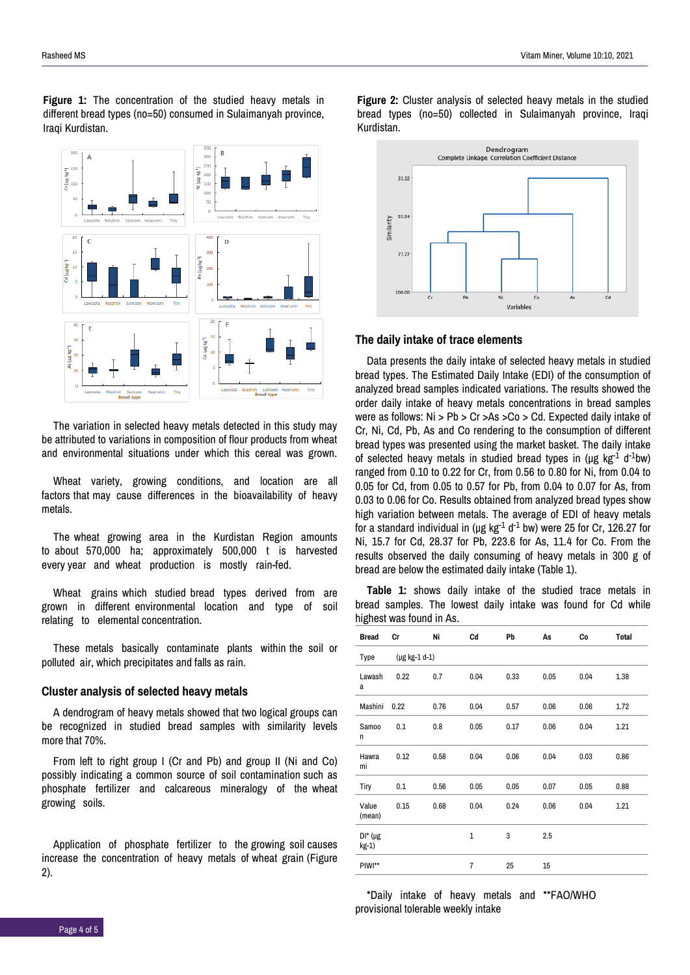**Figure 1:** The concentration of the studied heavy metals in different bread types (no=50) consumed in Sulaimanyah province, Iraqi Kurdistan.



The variation in selected heavy metals detected in this study may be attributed to variations in composition of flour products from wheat and environmental situations under which this cereal was grown.

Wheat variety, growing conditions, and location are all factors that may cause differences in the bioavailability of heavy metals.

The wheat growing area in the Kurdistan Region amounts to about 570,000 ha; approximately 500,000 t is harvested every year and wheat production is mostly rain-fed.

Wheat grains which studied bread types derived from are grown in different environmental location and type of soil relating to elemental concentration.

These metals basically contaminate plants within the soil or polluted air, which precipitates and falls as rain.

#### **Cluster analysis of selected heavy metals**

A dendrogram of heavy metals showed that two logical groups can be recognized in studied bread samples with similarity levels more that 70%.

From left to right group I (Cr and Pb) and group II (Ni and Co) possibly indicating a common source of soil contamination such as phosphate fertilizer and calcareous mineralogy of the wheat growing soils.

Application of phosphate fertilizer to the growing soil causes increase the concentration of heavy metals of wheat grain (Figure 2).

**Figure 2:** Cluster analysis of selected heavy metals in the studied bread types (no=50) collected in Sulaimanyah province, Iraqi Kurdistan.



#### **The daily intake of trace elements**

Data presents the daily intake of selected heavy metals in studied bread types. The Estimated Daily Intake (EDI) of the consumption of analyzed bread samples indicated variations. The results showed the order daily intake of heavy metals concentrations in bread samples were as follows: Ni > Pb > Cr >As >Co > Cd. Expected daily intake of Cr, Ni, Cd, Pb, As and Co rendering to the consumption of different bread types was presented using the market basket. The daily intake of selected heavy metals in studied bread types in ( $\mu$ g kg $^{-1}$  d<sup>-1</sup>bw) ranged from 0.10 to 0.22 for Cr, from 0.56 to 0.80 for Ni, from 0.04 to 0.05 for Cd, from 0.05 to 0.57 for Pb, from 0.04 to 0.07 for As, from 0.03 to 0.06 for Co. Results obtained from analyzed bread types show high variation between metals. The average of EDI of heavy metals for a standard individual in (μg kg $^{-1}$  d $^{-1}$  bw) were 25 for Cr, 126.27 for Ni, 15.7 for Cd, 28.37 for Pb, 223.6 for As, 11.4 for Co. From the results observed the daily consuming of heavy metals in 300 g of bread are below the estimated daily intake (Table 1).

**Table 1:** shows daily intake of the studied trace metals in bread samples. The lowest daily intake was found for Cd while highest was found in As.

| <b>Bread</b>           | Cr                 | Ni   | Cd             | Pb   | As   | Сo   | <b>Total</b> |
|------------------------|--------------------|------|----------------|------|------|------|--------------|
| Type                   | $(\mu g kg-1 d-1)$ |      |                |      |      |      |              |
| Lawash<br>a            | 0.22               | 0.7  | 0.04           | 0.33 | 0.05 | 0.04 | 1.38         |
| Mashini                | 0.22               | 0.76 | 0.04           | 0.57 | 0.06 | 0.06 | 1.72         |
| Samoo<br>n             | 0.1                | 0.8  | 0.05           | 0.17 | 0.06 | 0.04 | 1.21         |
| Hawra<br>mi            | 0.12               | 0.58 | 0.04           | 0.06 | 0.04 | 0.03 | 0.86         |
| Tiry                   | 0.1                | 0.56 | 0.05           | 0.05 | 0.07 | 0.05 | 0.88         |
| Value<br>(mean)        | 0.15               | 0.68 | 0.04           | 0.24 | 0.06 | 0.04 | 1.21         |
| $DI^*(\mu g)$<br>kg-1) |                    |      | $\mathbf{1}$   | 3    | 2.5  |      |              |
| PIWI**                 |                    |      | $\overline{7}$ | 25   | 15   |      |              |

\*Daily intake of heavy metals and \*\*FAO/WHO provisional tolerable weekly intake